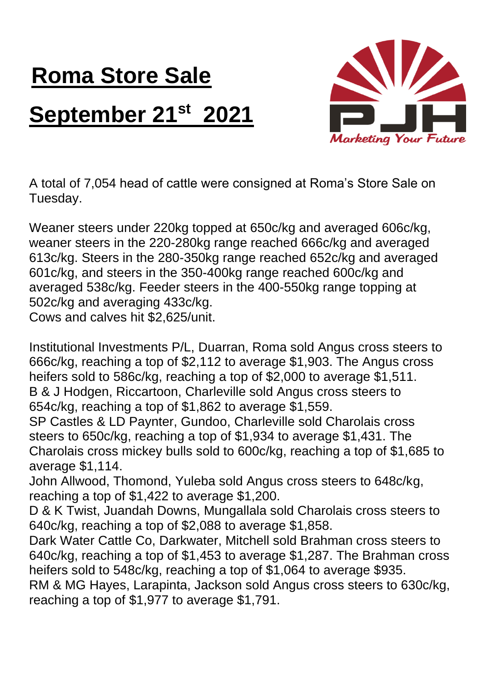## **Roma Store Sale September 21st 2021**



A total of 7,054 head of cattle were consigned at Roma's Store Sale on Tuesday.

Weaner steers under 220kg topped at 650c/kg and averaged 606c/kg, weaner steers in the 220-280kg range reached 666c/kg and averaged 613c/kg. Steers in the 280-350kg range reached 652c/kg and averaged 601c/kg, and steers in the 350-400kg range reached 600c/kg and averaged 538c/kg. Feeder steers in the 400-550kg range topping at 502c/kg and averaging 433c/kg.

Cows and calves hit \$2,625/unit.

Institutional Investments P/L, Duarran, Roma sold Angus cross steers to 666c/kg, reaching a top of \$2,112 to average \$1,903. The Angus cross heifers sold to 586c/kg, reaching a top of \$2,000 to average \$1,511. B & J Hodgen, Riccartoon, Charleville sold Angus cross steers to 654c/kg, reaching a top of \$1,862 to average \$1,559.

SP Castles & LD Paynter, Gundoo, Charleville sold Charolais cross steers to 650c/kg, reaching a top of \$1,934 to average \$1,431. The Charolais cross mickey bulls sold to 600c/kg, reaching a top of \$1,685 to average \$1,114.

John Allwood, Thomond, Yuleba sold Angus cross steers to 648c/kg, reaching a top of \$1,422 to average \$1,200.

D & K Twist, Juandah Downs, Mungallala sold Charolais cross steers to 640c/kg, reaching a top of \$2,088 to average \$1,858.

Dark Water Cattle Co, Darkwater, Mitchell sold Brahman cross steers to 640c/kg, reaching a top of \$1,453 to average \$1,287. The Brahman cross heifers sold to 548c/kg, reaching a top of \$1,064 to average \$935.

RM & MG Hayes, Larapinta, Jackson sold Angus cross steers to 630c/kg, reaching a top of \$1,977 to average \$1,791.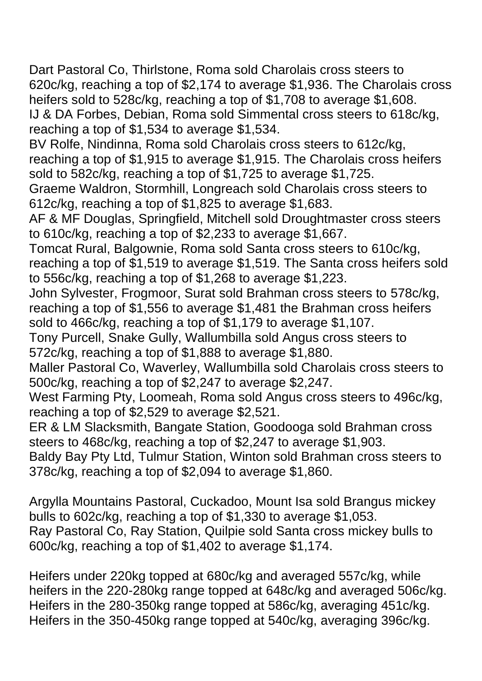Dart Pastoral Co, Thirlstone, Roma sold Charolais cross steers to 620c/kg, reaching a top of \$2,174 to average \$1,936. The Charolais cross heifers sold to 528c/kg, reaching a top of \$1,708 to average \$1,608. IJ & DA Forbes, Debian, Roma sold Simmental cross steers to 618c/kg, reaching a top of \$1,534 to average \$1,534.

BV Rolfe, Nindinna, Roma sold Charolais cross steers to 612c/kg, reaching a top of \$1,915 to average \$1,915. The Charolais cross heifers sold to 582c/kg, reaching a top of \$1,725 to average \$1,725.

Graeme Waldron, Stormhill, Longreach sold Charolais cross steers to 612c/kg, reaching a top of \$1,825 to average \$1,683.

AF & MF Douglas, Springfield, Mitchell sold Droughtmaster cross steers to 610c/kg, reaching a top of \$2,233 to average \$1,667.

Tomcat Rural, Balgownie, Roma sold Santa cross steers to 610c/kg, reaching a top of \$1,519 to average \$1,519. The Santa cross heifers sold to 556c/kg, reaching a top of \$1,268 to average \$1,223.

John Sylvester, Frogmoor, Surat sold Brahman cross steers to 578c/kg, reaching a top of \$1,556 to average \$1,481 the Brahman cross heifers sold to 466c/kg, reaching a top of \$1,179 to average \$1,107.

Tony Purcell, Snake Gully, Wallumbilla sold Angus cross steers to 572c/kg, reaching a top of \$1,888 to average \$1,880.

Maller Pastoral Co, Waverley, Wallumbilla sold Charolais cross steers to 500c/kg, reaching a top of \$2,247 to average \$2,247.

West Farming Pty, Loomeah, Roma sold Angus cross steers to 496c/kg, reaching a top of \$2,529 to average \$2,521.

ER & LM Slacksmith, Bangate Station, Goodooga sold Brahman cross steers to 468c/kg, reaching a top of \$2,247 to average \$1,903.

Baldy Bay Pty Ltd, Tulmur Station, Winton sold Brahman cross steers to 378c/kg, reaching a top of \$2,094 to average \$1,860.

Argylla Mountains Pastoral, Cuckadoo, Mount Isa sold Brangus mickey bulls to 602c/kg, reaching a top of \$1,330 to average \$1,053. Ray Pastoral Co, Ray Station, Quilpie sold Santa cross mickey bulls to 600c/kg, reaching a top of \$1,402 to average \$1,174.

Heifers under 220kg topped at 680c/kg and averaged 557c/kg, while heifers in the 220-280kg range topped at 648c/kg and averaged 506c/kg. Heifers in the 280-350kg range topped at 586c/kg, averaging 451c/kg. Heifers in the 350-450kg range topped at 540c/kg, averaging 396c/kg.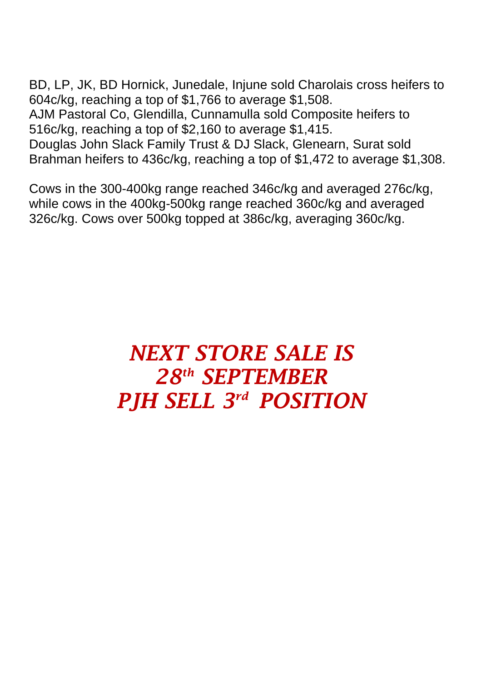BD, LP, JK, BD Hornick, Junedale, Injune sold Charolais cross heifers to 604c/kg, reaching a top of \$1,766 to average \$1,508. AJM Pastoral Co, Glendilla, Cunnamulla sold Composite heifers to 516c/kg, reaching a top of \$2,160 to average \$1,415. Douglas John Slack Family Trust & DJ Slack, Glenearn, Surat sold Brahman heifers to 436c/kg, reaching a top of \$1,472 to average \$1,308.

Cows in the 300-400kg range reached 346c/kg and averaged 276c/kg, while cows in the 400kg-500kg range reached 360c/kg and averaged 326c/kg. Cows over 500kg topped at 386c/kg, averaging 360c/kg.

## *NEXT STORE SALE IS 28th SEPTEMBER PJH SELL 3 rd POSITION*